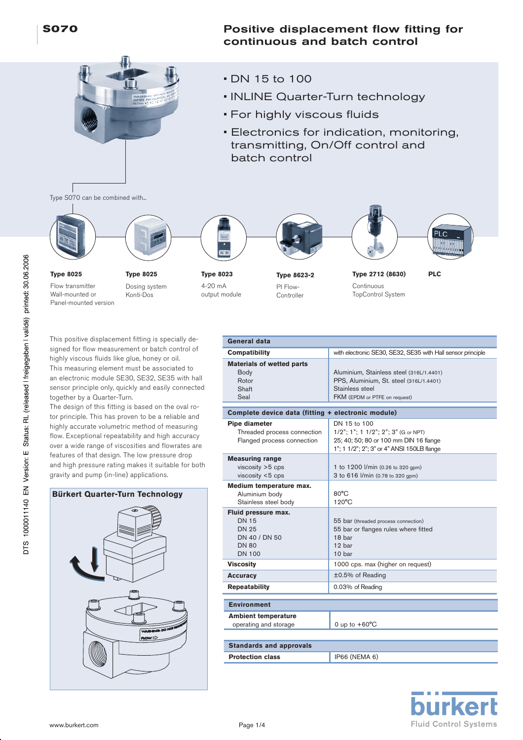# Positive displacement flow fitting for continuous and batch control

- DN 15 to 100
- INLINE Quarter-Turn technology
- For highly viscous fluids
- Electronics for indication, monitoring, transmitting, On/Off control and batch control

Type S070 can be combined with...





**Type 8025**

Flow transmitter Wall-mounted or Panel-mounted version

**Type 8025** Dosing system Konti-Dos



Ī

4-20 mA output module

PI Flow-**Controller** 





**Type 2712 (8630) Type 8623-2 PLC** Continuous TopControl System

This positive displacement fitting is specially designed for flow measurement or batch control of highly viscous fluids like glue, honey or oil. This measuring element must be associated to an electronic module SE30, SE32, SE35 with hall sensor principle only, quickly and easily connected together by a Quarter-Turn.

The design of this fitting is based on the oval rotor principle. This has proven to be a reliable and highly accurate volumetric method of measuring flow. Exceptional repeatability and high accuracy over a wide range of viscosities and flowrates are features of that design. The low pressure drop and high pressure rating makes it suitable for both gravity and pump (in-line) applications.

**Bürkert Quarter-Turn Technology**



| General data                                                                                          |                                                                                                                                             |  |  |  |  |
|-------------------------------------------------------------------------------------------------------|---------------------------------------------------------------------------------------------------------------------------------------------|--|--|--|--|
| Compatibility                                                                                         | with electronic SE30, SE32, SE35 with Hall sensor principle                                                                                 |  |  |  |  |
| <b>Materials of wetted parts</b><br>Body<br>Rotor<br>Shaft<br>Seal                                    | Aluminium, Stainless steel (316L/1.4401)<br>PPS, Aluminium, St. steel (316L/1.4401)<br>Stainless steel<br>FKM (EPDM or PTFE on request)     |  |  |  |  |
| Complete device data (fitting + electronic module)                                                    |                                                                                                                                             |  |  |  |  |
| Pipe diameter<br>Threaded process connection<br>Flanged process connection                            | DN 15 to 100<br>1/2"; 1"; 1 1/2"; 2"; 3" (G or NPT)<br>25; 40; 50; 80 or 100 mm DIN 16 flange<br>1"; 1 1/2"; 2"; 3" or 4" ANSI 150LB flange |  |  |  |  |
| <b>Measuring range</b><br>$viscosity > 5$ cps<br>viscosity <5 cps                                     | 1 to 1200 l/min (0.26 to 320 gpm)<br>3 to 616 l/min (0.78 to 320 gpm)                                                                       |  |  |  |  |
| Medium temperature max.<br>Aluminium body<br>Stainless steel body                                     | $80^{\circ}$ C<br>$120^{\circ}$ C                                                                                                           |  |  |  |  |
| Fluid pressure max.<br><b>DN 15</b><br><b>DN 25</b><br>DN 40 / DN 50<br><b>DN 80</b><br><b>DN 100</b> | 55 bar (threaded process connection)<br>55 bar or flanges rules where fitted<br>18 har<br>12 bar<br>10 bar                                  |  |  |  |  |
| <b>Viscosity</b>                                                                                      | 1000 cps. max (higher on request)                                                                                                           |  |  |  |  |
| <b>Accuracy</b>                                                                                       | ±0.5% of Reading                                                                                                                            |  |  |  |  |
| <b>Repeatability</b>                                                                                  | 0.03% of Reading                                                                                                                            |  |  |  |  |
| <b>Environment</b>                                                                                    |                                                                                                                                             |  |  |  |  |
| <b>Ambient temperature</b><br>operating and storage                                                   | 0 up to $+60^{\circ}$ C                                                                                                                     |  |  |  |  |
| <b>Standards and approvals</b>                                                                        |                                                                                                                                             |  |  |  |  |
| <b>Protection class</b>                                                                               | IP66 (NEMA 6)                                                                                                                               |  |  |  |  |
|                                                                                                       |                                                                                                                                             |  |  |  |  |

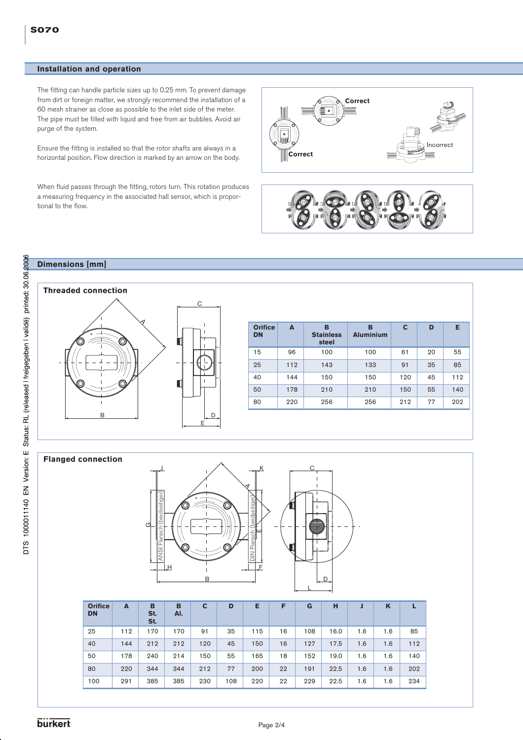### **Installation and operation**

The fitting can handle particle sizes up to 0.25 mm. To prevent damage from dirt or foreign matter, we strongly recommend the installation of a 60 mesh strainer as close as possible to the inlet side of the meter. The pipe must be filled with liquid and free from air bubbles. Avoid air purge of the system.

Ensure the fitting is installed so that the rotor shafts are always in a horizontal position. Flow direction is marked by an arrow on the body.

When fluid passes through the fitting, rotors turn. This rotation produces a measuring frequency in the associated hall sensor, which is proportional to the flow.





### **Dimensions [mm]**

A B D C E **Orifice DN A B Stainless steel B Aluminium CDE** 15 | 96 | 100 | 100 | 61 | 20 | 55 25 | 112 | 143 | 133 | 91 | 35 | 85 40 | 144 | 150 | 150 | 120 | 45 | 112 50 178 210 210 150 55 140 80 220 256 256 212 77 202 **Threaded connection**

#### **Flanged connection**



| <b>Orifice</b><br><b>DN</b> | A   | в<br>St.<br>St. | в<br>AI. | C   | D   | Е   | F  | G   | н    |     | K   |     |
|-----------------------------|-----|-----------------|----------|-----|-----|-----|----|-----|------|-----|-----|-----|
| 25                          | 112 | 170             | 170      | 91  | 35  | 115 | 16 | 108 | 16.0 | 1.6 | 1.6 | 85  |
| 40                          | 144 | 212             | 212      | 120 | 45  | 150 | 16 | 127 | 17.5 | 1.6 | 1.6 | 112 |
| 50                          | 178 | 240             | 214      | 150 | 55  | 165 | 18 | 152 | 19.0 | 1.6 | 1.6 | 140 |
| 80                          | 220 | 344             | 344      | 212 | 77  | 200 | 22 | 191 | 22.5 | 1.6 | 1.6 | 202 |
| 100                         | 291 | 385             | 385      | 230 | 108 | 220 | 22 | 229 | 22.5 | 1.6 | 1.6 | 234 |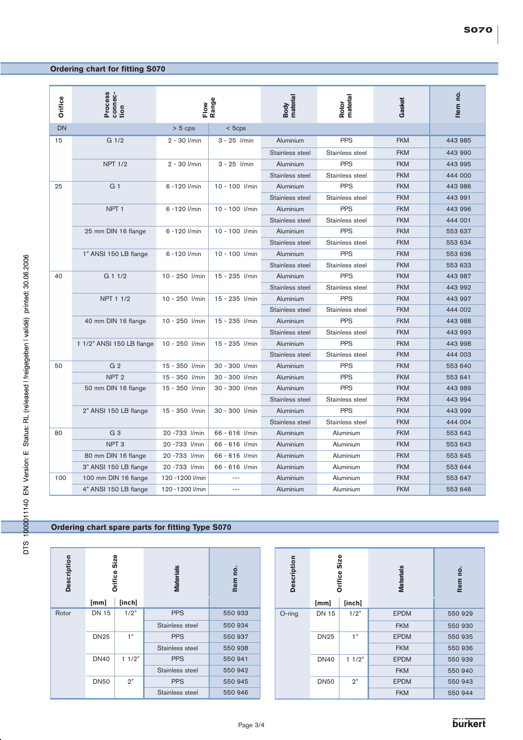# **Ordering chart for fitting S070**

| Orifice | Process<br>connec-<br>tion | Range<br>Flow    |                | material<br>Body | material<br>Rotor | Gasket     | Item no. |
|---------|----------------------------|------------------|----------------|------------------|-------------------|------------|----------|
| DN      |                            | $> 5$ cps        | $<$ 5 $c$ ps   |                  |                   |            |          |
| 15      | G <sub>1/2</sub>           | 2 - 30 l/min     | $3 - 25$ //min | Aluminium        | <b>PPS</b>        | <b>FKM</b> | 443 985  |
|         |                            |                  |                | Stainless steel  | Stainless steel   | <b>FKM</b> | 443 990  |
|         | <b>NPT 1/2</b>             | $2 - 30$ $I/min$ | $3 - 25$ //min | Aluminium        | <b>PPS</b>        | <b>FKM</b> | 443 995  |
|         |                            |                  |                | Stainless steel  | Stainless steel   | <b>FKM</b> | 444 000  |
| 25      | G <sub>1</sub>             | 6 -120 l/min     | 10 - 100 l/min | Aluminium        | <b>PPS</b>        | <b>FKM</b> | 443 986  |
|         |                            |                  |                | Stainless steel  | Stainless steel   | <b>FKM</b> | 443 991  |
|         | NPT <sub>1</sub>           | 6 -120 l/min     | 10 - 100 l/min | Aluminium        | <b>PPS</b>        | <b>FKM</b> | 443 996  |
|         |                            |                  |                | Stainless steel  | Stainless steel   | <b>FKM</b> | 444 001  |
|         | 25 mm DIN 16 flange        | 6 -120 l/min     | 10 - 100 l/min | Aluminium        | <b>PPS</b>        | <b>FKM</b> | 553 637  |
|         |                            |                  |                | Stainless steel  | Stainless steel   | <b>FKM</b> | 553 634  |
|         | 1" ANSI 150 LB flange      | 6 -120 l/min     | 10 - 100 l/min | Aluminium        | <b>PPS</b>        | <b>FKM</b> | 553 636  |
|         |                            |                  |                | Stainless steel  | Stainless steel   | <b>FKM</b> | 553 633  |
| 40      | $G$ 1 1/2                  | 10 - 250 l/min   | 15 - 235 l/min | Aluminium        | <b>PPS</b>        | <b>FKM</b> | 443 987  |
|         |                            |                  |                | Stainless steel  | Stainless steel   | <b>FKM</b> | 443 992  |
|         | NPT 1 1/2                  | 10 - 250 l/min   | 15 - 235 l/min | Aluminium        | <b>PPS</b>        | <b>FKM</b> | 443 997  |
|         |                            |                  |                | Stainless steel  | Stainless steel   | <b>FKM</b> | 444 002  |
|         | 40 mm DIN 16 flange        | 10 - 250 l/min   | 15 - 235 l/min | Aluminium        | <b>PPS</b>        | <b>FKM</b> | 443 988  |
|         |                            |                  |                | Stainless steel  | Stainless steel   | <b>FKM</b> | 443 993  |
|         | 1 1/2" ANSI 150 LB flange  | 10 - 250 l/min   | 15 - 235 l/min | Aluminium        | <b>PPS</b>        | <b>FKM</b> | 443 998  |
|         |                            |                  |                | Stainless steel  | Stainless steel   | <b>FKM</b> | 444 003  |
| 50      | G <sub>2</sub>             | 15 - 350 l/min   | 30 - 300 l/min | Aluminium        | <b>PPS</b>        | <b>FKM</b> | 553 640  |
|         | NPT <sub>2</sub>           | 15 - 350 l/min   | 30 - 300 l/min | Aluminium        | <b>PPS</b>        | <b>FKM</b> | 553 641  |
|         | 50 mm DIN 16 flange        | 15 - 350 l/min   | 30 - 300 l/min | Aluminium        | <b>PPS</b>        | <b>FKM</b> | 443 989  |
|         |                            |                  |                | Stainless steel  | Stainless steel   | <b>FKM</b> | 443 994  |
|         | 2" ANSI 150 LB flange      | 15 - 350 l/min   | 30 - 300 l/min | Aluminium        | <b>PPS</b>        | <b>FKM</b> | 443 999  |
|         |                            |                  |                | Stainless steel  | Stainless steel   | <b>FKM</b> | 444 004  |
| 80      | G <sub>3</sub>             | 20 - 733 l/min   | 66 - 616 l/min | Aluminium        | Aluminium         | <b>FKM</b> | 553 642  |
|         | NPT <sub>3</sub>           | 20 - 733 l/min   | 66 - 616 l/min | Aluminium        | Aluminium         | <b>FKM</b> | 553 643  |
|         | 80 mm DIN 16 flange        | 20 - 733 l/min   | 66 - 616 l/min | Aluminium        | Aluminium         | <b>FKM</b> | 553 645  |
|         | 3" ANSI 150 LB flange      | 20 - 733 l/min   | 66 - 616 l/min | Aluminium        | Aluminium         | <b>FKM</b> | 553 644  |
| 100     | 100 mm DIN 16 flange       | 120 - 1200 l/min |                | Aluminium        | Aluminium         | <b>FKM</b> | 553 647  |
|         | 4" ANSI 150 LB flange      | 120 - 1200 l/min | $- - -$        | Aluminium        | Aluminium         | <b>FKM</b> | 553 646  |

## **Ordering chart spare parts for fitting Type S070**

| <b>Description</b> | Size<br><b>Orifice</b> |        | <b>Materials</b> | o,<br><b>Item</b> |  |
|--------------------|------------------------|--------|------------------|-------------------|--|
|                    | [mm]                   | [inch] |                  |                   |  |
| Rotor              | <b>DN 15</b>           | 1/2"   | <b>PPS</b>       | 550 933           |  |
|                    |                        |        | Stainless steel  | 550 934           |  |
|                    | <b>DN25</b>            | 1"     | <b>PPS</b>       | 550 937           |  |
|                    |                        |        | Stainless steel  | 550 938           |  |
|                    | <b>DN40</b>            | 11/2"  | <b>PPS</b>       | 550 941           |  |
|                    |                        |        | Stainless steel  | 550 942           |  |
|                    | <b>DN50</b>            | 2"     | <b>PPS</b>       | 550 945           |  |
|                    |                        |        | Stainless steel  | 550 946           |  |

| <b>Description</b> | <b>Size</b><br><b>Orifice</b> |        | <b>Materials</b> | <u>o</u><br><b>Item</b> |  |
|--------------------|-------------------------------|--------|------------------|-------------------------|--|
|                    | [mm]                          | [inch] |                  |                         |  |
| O-ring             | <b>DN 15</b>                  | 1/2"   | <b>EPDM</b>      | 550 929                 |  |
|                    |                               |        | <b>FKM</b>       | 550 930                 |  |
|                    | <b>DN25</b>                   | 1"     | <b>EPDM</b>      | 550 935                 |  |
|                    |                               |        | <b>FKM</b>       | 550 936                 |  |
|                    | <b>DN40</b>                   | 11/2"  | <b>EPDM</b>      | 550 939                 |  |
|                    |                               |        | <b>FKM</b>       | 550 940                 |  |
|                    | <b>DN50</b>                   | 2"     | <b>EPDM</b>      | 550 943                 |  |
|                    |                               |        | <b>FKM</b>       | 550 944                 |  |